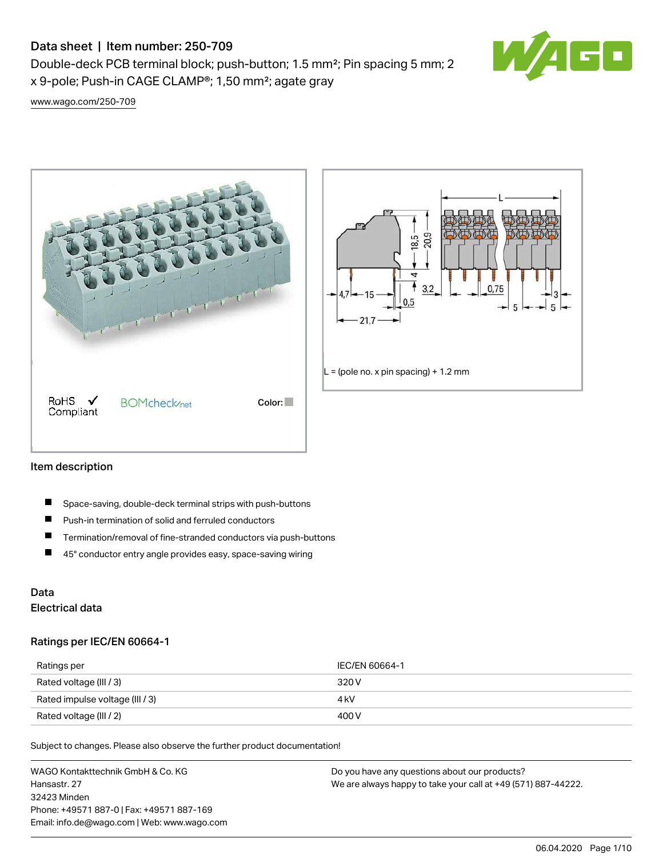Double-deck PCB terminal block; push-button; 1.5 mm²; Pin spacing 5 mm; 2 x 9-pole; Push-in CAGE CLAMP®; 1,50 mm²; agate gray



[www.wago.com/250-709](http://www.wago.com/250-709)





### Item description

- П Space-saving, double-deck terminal strips with push-buttons
- $\blacksquare$ Push-in termination of solid and ferruled conductors
- $\blacksquare$ Termination/removal of fine-stranded conductors via push-buttons
- $\blacksquare$ 45° conductor entry angle provides easy, space-saving wiring

## Data Electrical data

### Ratings per IEC/EN 60664-1

| Ratings per                     | IEC/EN 60664-1 |
|---------------------------------|----------------|
| Rated voltage (III / 3)         | 320 V          |
| Rated impulse voltage (III / 3) | 4 kV           |
| Rated voltage (III / 2)         | 400 V          |

Subject to changes. Please also observe the further product documentation!

WAGO Kontakttechnik GmbH & Co. KG Hansastr. 27 32423 Minden Phone: +49571 887-0 | Fax: +49571 887-169 Email: info.de@wago.com | Web: www.wago.com Do you have any questions about our products? We are always happy to take your call at +49 (571) 887-44222.

06.04.2020 Page 1/10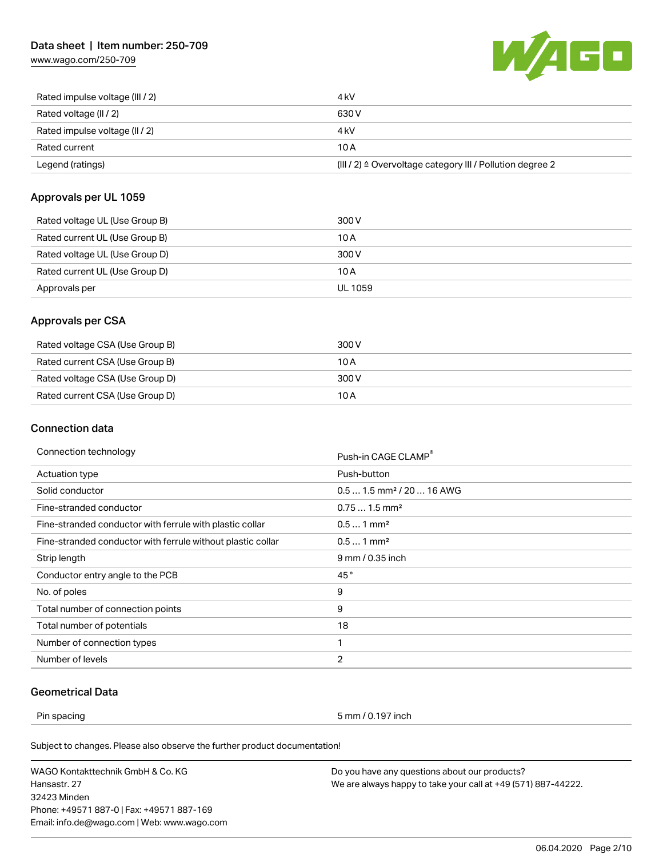[www.wago.com/250-709](http://www.wago.com/250-709)



| Rated impulse voltage (III / 2) | 4 kV                                                      |
|---------------------------------|-----------------------------------------------------------|
| Rated voltage (II / 2)          | 630 V                                                     |
| Rated impulse voltage (II / 2)  | 4 kV                                                      |
| Rated current                   | 10 A                                                      |
| Legend (ratings)                | (III / 2) ≙ Overvoltage category III / Pollution degree 2 |

### Approvals per UL 1059

| Rated voltage UL (Use Group B) | 300 V   |
|--------------------------------|---------|
| Rated current UL (Use Group B) | 10 A    |
| Rated voltage UL (Use Group D) | 300 V   |
| Rated current UL (Use Group D) | 10 A    |
| Approvals per                  | UL 1059 |

### Approvals per CSA

| Rated voltage CSA (Use Group B) | 300 V |
|---------------------------------|-------|
| Rated current CSA (Use Group B) | 10 A  |
| Rated voltage CSA (Use Group D) | 300 V |
| Rated current CSA (Use Group D) | 10 A  |

### Connection data

| Connection technology                                       | Push-in CAGE CLAMP®                   |  |
|-------------------------------------------------------------|---------------------------------------|--|
| Actuation type                                              | Push-button                           |  |
| Solid conductor                                             | $0.51.5$ mm <sup>2</sup> / 20  16 AWG |  |
| Fine-stranded conductor                                     | $0.751.5$ mm <sup>2</sup>             |  |
| Fine-stranded conductor with ferrule with plastic collar    | $0.51$ mm <sup>2</sup>                |  |
| Fine-stranded conductor with ferrule without plastic collar | $0.51$ mm <sup>2</sup>                |  |
| Strip length                                                | 9 mm / 0.35 inch                      |  |
| Conductor entry angle to the PCB                            | 45°                                   |  |
| No. of poles                                                | 9                                     |  |
| Total number of connection points                           | 9                                     |  |
| Total number of potentials                                  | 18                                    |  |
| Number of connection types                                  | 1                                     |  |
| Number of levels                                            | $\overline{2}$                        |  |
|                                                             |                                       |  |

## Geometrical Data

Pin spacing 5 mm / 0.197 inch

Subject to changes. Please also observe the further product documentation!

WAGO Kontakttechnik GmbH & Co. KG Hansastr. 27 32423 Minden Phone: +49571 887-0 | Fax: +49571 887-169 Email: info.de@wago.com | Web: www.wago.com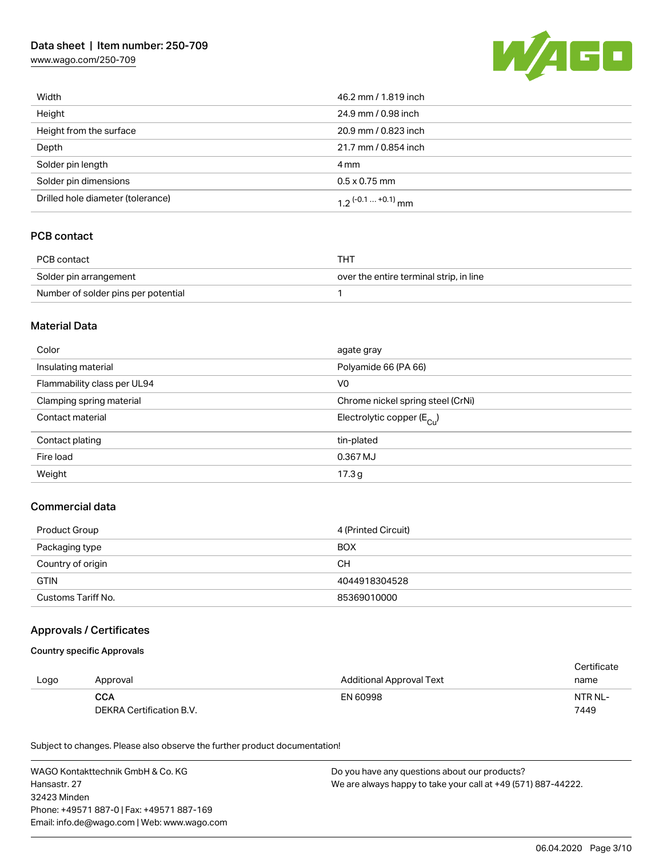[www.wago.com/250-709](http://www.wago.com/250-709)



| Width                             | 46.2 mm / 1.819 inch  |  |
|-----------------------------------|-----------------------|--|
| Height                            | 24.9 mm / 0.98 inch   |  |
| Height from the surface           | 20.9 mm / 0.823 inch  |  |
| Depth                             | 21.7 mm / 0.854 inch  |  |
| Solder pin length                 | 4 mm                  |  |
| Solder pin dimensions             | $0.5 \times 0.75$ mm  |  |
| Drilled hole diameter (tolerance) | 1.2 $(-0.1  +0.1)$ mm |  |

### PCB contact

| PCB contact                         | THT.                                    |
|-------------------------------------|-----------------------------------------|
| Solder pin arrangement              | over the entire terminal strip, in line |
| Number of solder pins per potential |                                         |

### Material Data

| Color                       | agate gray                            |
|-----------------------------|---------------------------------------|
| Insulating material         | Polyamide 66 (PA 66)                  |
| Flammability class per UL94 | V <sub>0</sub>                        |
| Clamping spring material    | Chrome nickel spring steel (CrNi)     |
| Contact material            | Electrolytic copper $(E_{\text{Cl}})$ |
| Contact plating             | tin-plated                            |
| Fire load                   | 0.367 MJ                              |
| Weight                      | 17.3 <sub>g</sub>                     |

### Commercial data

| Product Group      | 4 (Printed Circuit) |
|--------------------|---------------------|
| Packaging type     | <b>BOX</b>          |
| Country of origin  | CН                  |
| <b>GTIN</b>        | 4044918304528       |
| Customs Tariff No. | 85369010000         |

### Approvals / Certificates

#### Country specific Approvals

|      |                          |                                 | Certificate |
|------|--------------------------|---------------------------------|-------------|
| Logo | Approval                 | <b>Additional Approval Text</b> | name        |
|      | <b>CCA</b>               | EN 60998                        | NTR NL-     |
|      | DEKRA Certification B.V. |                                 | 7449        |

Subject to changes. Please also observe the further product documentation!

WAGO Kontakttechnik GmbH & Co. KG Hansastr. 27 32423 Minden Phone: +49571 887-0 | Fax: +49571 887-169 Email: info.de@wago.com | Web: www.wago.com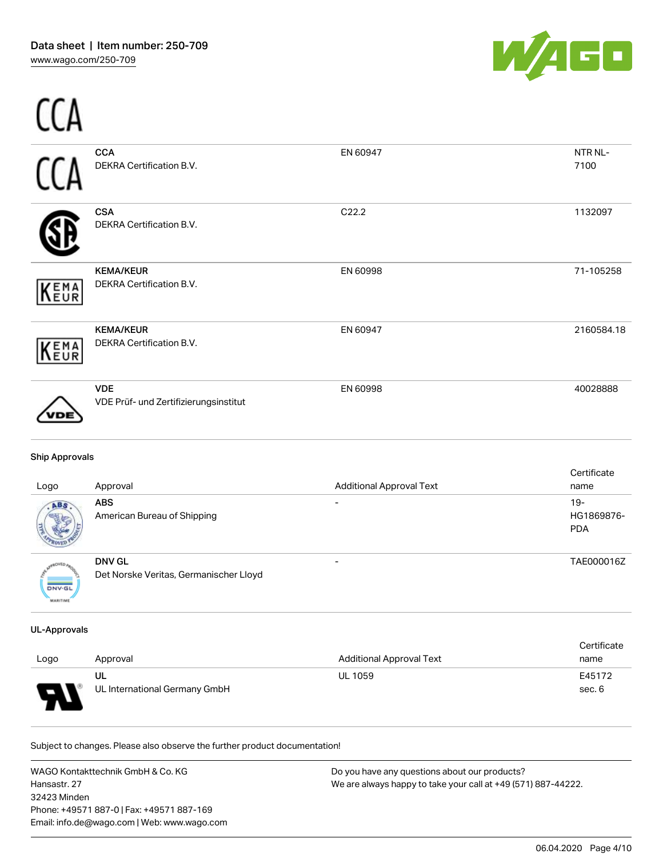-- -



| <b>Ship Approvals</b><br>Logo | Approval                                     | <b>Additional Approval Text</b> | Certificate<br>name |
|-------------------------------|----------------------------------------------|---------------------------------|---------------------|
| DE                            | VDE Prüf- und Zertifizierungsinstitut        |                                 |                     |
| (EMA<br>(EUR                  | <b>VDE</b>                                   | EN 60998                        | 40028888            |
|                               | <b>KEMA/KEUR</b><br>DEKRA Certification B.V. | EN 60947                        | 2160584.18          |
| <b>KEMA</b>                   | <b>KEMA/KEUR</b><br>DEKRA Certification B.V. | EN 60998                        | 71-105258           |
|                               | <b>CSA</b><br>DEKRA Certification B.V.       | C22.2                           | 1132097             |
|                               | <b>CCA</b><br>DEKRA Certification B.V.       | EN 60947                        | NTR NL-<br>7100     |
|                               |                                              |                                 |                     |

| <b>PD</b>     | <b>ABS</b><br>American Bureau of Shipping | $19-$<br>HG1869876-<br><b>PDA</b> |
|---------------|-------------------------------------------|-----------------------------------|
|               | <b>DNV GL</b>                             | TAE000016Z                        |
| <b>DNV-GL</b> | Det Norske Veritas, Germanischer Lloyd    |                                   |

### UL-Approvals

MARITIME

| Logo | Approval                      | <b>Additional Approval Text</b> | Certificate<br>name |
|------|-------------------------------|---------------------------------|---------------------|
| e    | UL                            | <b>UL 1059</b>                  | E45172              |
| . .  | UL International Germany GmbH |                                 | sec. 6              |

Subject to changes. Please also observe the further product documentation!

WAGO Kontakttechnik GmbH & Co. KG Hansastr. 27 32423 Minden Phone: +49571 887-0 | Fax: +49571 887-169 Email: info.de@wago.com | Web: www.wago.com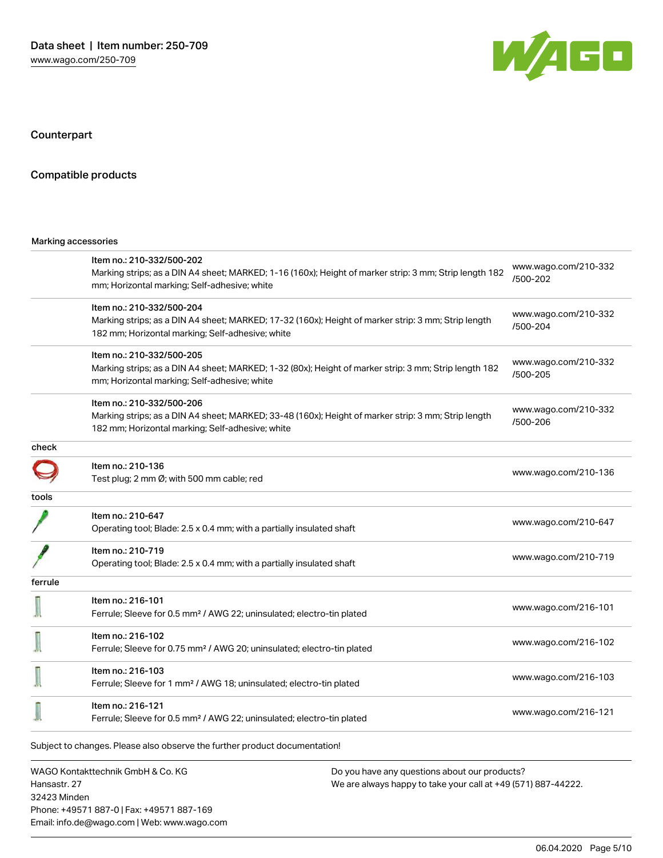

Counterpart

### Compatible products

#### Marking accessories

32423 Minden

Phone: +49571 887-0 | Fax: +49571 887-169 Email: info.de@wago.com | Web: www.wago.com

|              | Item no.: 210-332/500-202                                                                              |                                                               |                                  |  |
|--------------|--------------------------------------------------------------------------------------------------------|---------------------------------------------------------------|----------------------------------|--|
|              | Marking strips; as a DIN A4 sheet; MARKED; 1-16 (160x); Height of marker strip: 3 mm; Strip length 182 |                                                               | www.wago.com/210-332<br>/500-202 |  |
|              | mm; Horizontal marking; Self-adhesive; white                                                           |                                                               |                                  |  |
|              | Item no.: 210-332/500-204                                                                              |                                                               | www.wago.com/210-332             |  |
|              | Marking strips; as a DIN A4 sheet; MARKED; 17-32 (160x); Height of marker strip: 3 mm; Strip length    |                                                               | /500-204                         |  |
|              | 182 mm; Horizontal marking; Self-adhesive; white                                                       |                                                               |                                  |  |
|              | Item no.: 210-332/500-205                                                                              |                                                               |                                  |  |
|              | Marking strips; as a DIN A4 sheet; MARKED; 1-32 (80x); Height of marker strip: 3 mm; Strip length 182  |                                                               | www.wago.com/210-332<br>/500-205 |  |
|              | mm; Horizontal marking; Self-adhesive; white                                                           |                                                               |                                  |  |
|              | Item no.: 210-332/500-206                                                                              |                                                               |                                  |  |
|              | Marking strips; as a DIN A4 sheet; MARKED; 33-48 (160x); Height of marker strip: 3 mm; Strip length    |                                                               | www.wago.com/210-332<br>/500-206 |  |
|              | 182 mm; Horizontal marking; Self-adhesive; white                                                       |                                                               |                                  |  |
| check        |                                                                                                        |                                                               |                                  |  |
|              | Item no.: 210-136                                                                                      |                                                               | www.wago.com/210-136             |  |
|              | Test plug; 2 mm Ø; with 500 mm cable; red                                                              |                                                               |                                  |  |
| tools        |                                                                                                        |                                                               |                                  |  |
|              | Item no.: 210-647                                                                                      |                                                               | www.wago.com/210-647             |  |
|              | Operating tool; Blade: 2.5 x 0.4 mm; with a partially insulated shaft                                  |                                                               |                                  |  |
|              | Item no.: 210-719                                                                                      |                                                               |                                  |  |
|              | Operating tool; Blade: 2.5 x 0.4 mm; with a partially insulated shaft                                  |                                                               | www.wago.com/210-719             |  |
| ferrule      |                                                                                                        |                                                               |                                  |  |
|              | Item no.: 216-101                                                                                      |                                                               |                                  |  |
|              | Ferrule; Sleeve for 0.5 mm <sup>2</sup> / AWG 22; uninsulated; electro-tin plated                      |                                                               | www.wago.com/216-101             |  |
|              | Item no.: 216-102                                                                                      |                                                               |                                  |  |
|              | Ferrule; Sleeve for 0.75 mm <sup>2</sup> / AWG 20; uninsulated; electro-tin plated                     |                                                               | www.wago.com/216-102             |  |
|              | Item no.: 216-103                                                                                      |                                                               |                                  |  |
|              | Ferrule; Sleeve for 1 mm <sup>2</sup> / AWG 18; uninsulated; electro-tin plated                        |                                                               | www.wago.com/216-103             |  |
|              | Item no.: 216-121                                                                                      |                                                               |                                  |  |
|              | Ferrule; Sleeve for 0.5 mm <sup>2</sup> / AWG 22; uninsulated; electro-tin plated                      |                                                               | www.wago.com/216-121             |  |
|              | Subject to changes. Please also observe the further product documentation!                             |                                                               |                                  |  |
|              | WAGO Kontakttechnik GmbH & Co. KG                                                                      | Do you have any questions about our products?                 |                                  |  |
| Hansastr, 27 |                                                                                                        | We are always happy to take your call at +49 (571) 887-44222. |                                  |  |
|              |                                                                                                        |                                                               |                                  |  |

06.04.2020 Page 5/10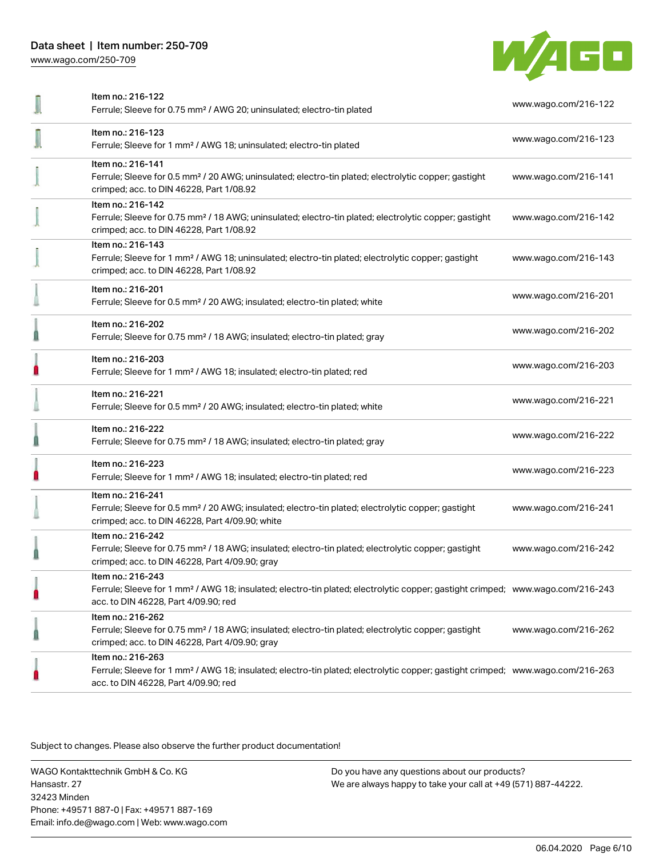[www.wago.com/250-709](http://www.wago.com/250-709)



| Item no.: 216-122<br>Ferrule; Sleeve for 0.75 mm <sup>2</sup> / AWG 20; uninsulated; electro-tin plated                                                                                                 | www.wago.com/216-122 |
|---------------------------------------------------------------------------------------------------------------------------------------------------------------------------------------------------------|----------------------|
| Item no.: 216-123<br>Ferrule; Sleeve for 1 mm <sup>2</sup> / AWG 18; uninsulated; electro-tin plated                                                                                                    | www.wago.com/216-123 |
| Item no.: 216-141<br>Ferrule; Sleeve for 0.5 mm <sup>2</sup> / 20 AWG; uninsulated; electro-tin plated; electrolytic copper; gastight<br>crimped; acc. to DIN 46228, Part 1/08.92                       | www.wago.com/216-141 |
| Item no.: 216-142<br>Ferrule; Sleeve for 0.75 mm <sup>2</sup> / 18 AWG; uninsulated; electro-tin plated; electrolytic copper; gastight<br>crimped; acc. to DIN 46228, Part 1/08.92                      | www.wago.com/216-142 |
| Item no.: 216-143<br>Ferrule; Sleeve for 1 mm <sup>2</sup> / AWG 18; uninsulated; electro-tin plated; electrolytic copper; gastight<br>crimped; acc. to DIN 46228, Part 1/08.92                         | www.wago.com/216-143 |
| Item no.: 216-201<br>Ferrule; Sleeve for 0.5 mm <sup>2</sup> / 20 AWG; insulated; electro-tin plated; white                                                                                             | www.wago.com/216-201 |
| Item no.: 216-202<br>Ferrule; Sleeve for 0.75 mm <sup>2</sup> / 18 AWG; insulated; electro-tin plated; gray                                                                                             | www.wago.com/216-202 |
| Item no.: 216-203<br>Ferrule; Sleeve for 1 mm <sup>2</sup> / AWG 18; insulated; electro-tin plated; red                                                                                                 | www.wago.com/216-203 |
| Item no.: 216-221<br>Ferrule; Sleeve for 0.5 mm <sup>2</sup> / 20 AWG; insulated; electro-tin plated; white                                                                                             | www.wago.com/216-221 |
| Item no.: 216-222<br>Ferrule; Sleeve for 0.75 mm <sup>2</sup> / 18 AWG; insulated; electro-tin plated; gray                                                                                             | www.wago.com/216-222 |
| Item no.: 216-223<br>Ferrule; Sleeve for 1 mm <sup>2</sup> / AWG 18; insulated; electro-tin plated; red                                                                                                 | www.wago.com/216-223 |
| Item no.: 216-241<br>Ferrule; Sleeve for 0.5 mm <sup>2</sup> / 20 AWG; insulated; electro-tin plated; electrolytic copper; gastight<br>crimped; acc. to DIN 46228, Part 4/09.90; white                  | www.wago.com/216-241 |
| Item no.: 216-242<br>Ferrule; Sleeve for 0.75 mm <sup>2</sup> / 18 AWG; insulated; electro-tin plated; electrolytic copper; gastight<br>crimped; acc. to DIN 46228, Part 4/09.90; gray                  | www.wago.com/216-242 |
| Item no.: 216-243<br>Ferrule; Sleeve for 1 mm <sup>2</sup> / AWG 18; insulated; electro-tin plated; electrolytic copper; gastight crimped; www.wago.com/216-243<br>acc. to DIN 46228, Part 4/09.90; red |                      |
| Item no.: 216-262<br>Ferrule; Sleeve for 0.75 mm <sup>2</sup> / 18 AWG; insulated; electro-tin plated; electrolytic copper; gastight<br>crimped; acc. to DIN 46228, Part 4/09.90; gray                  | www.wago.com/216-262 |
| Item no.: 216-263<br>Ferrule; Sleeve for 1 mm <sup>2</sup> / AWG 18; insulated; electro-tin plated; electrolytic copper; gastight crimped; www.wago.com/216-263<br>acc. to DIN 46228, Part 4/09.90; red |                      |

Subject to changes. Please also observe the further product documentation!

WAGO Kontakttechnik GmbH & Co. KG Hansastr. 27 32423 Minden Phone: +49571 887-0 | Fax: +49571 887-169 Email: info.de@wago.com | Web: www.wago.com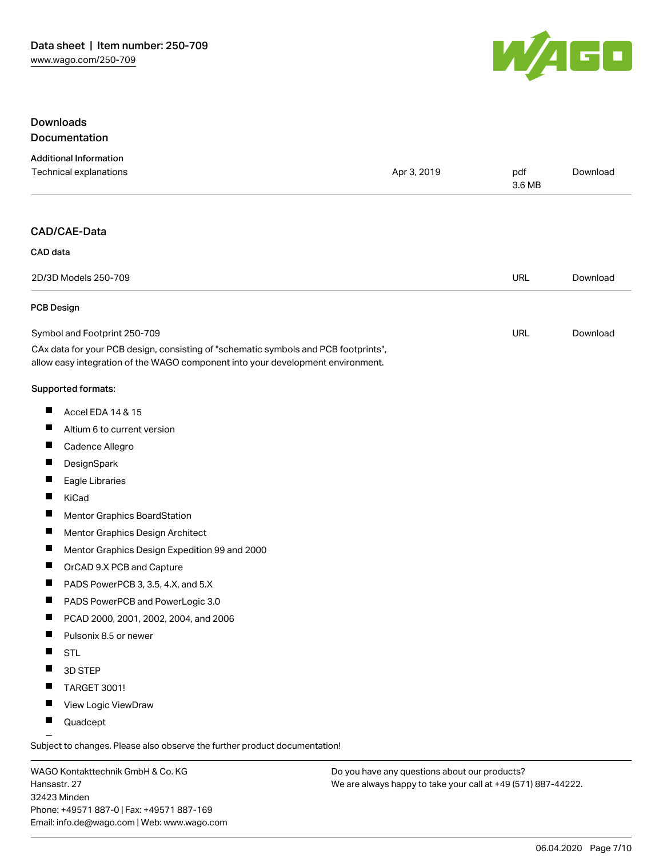

## Downloads Documentation

|                   | <b>Additional Information</b><br>Technical explanations                                                                                                                | Apr 3, 2019 | pdf<br>3.6 MB | Download |
|-------------------|------------------------------------------------------------------------------------------------------------------------------------------------------------------------|-------------|---------------|----------|
|                   | CAD/CAE-Data                                                                                                                                                           |             |               |          |
| CAD data          |                                                                                                                                                                        |             |               |          |
|                   | 2D/3D Models 250-709                                                                                                                                                   |             | <b>URL</b>    | Download |
| <b>PCB Design</b> |                                                                                                                                                                        |             |               |          |
|                   | Symbol and Footprint 250-709                                                                                                                                           |             | URL           | Download |
|                   | CAx data for your PCB design, consisting of "schematic symbols and PCB footprints",<br>allow easy integration of the WAGO component into your development environment. |             |               |          |
|                   | Supported formats:                                                                                                                                                     |             |               |          |
| ш                 | Accel EDA 14 & 15                                                                                                                                                      |             |               |          |
| ш                 | Altium 6 to current version                                                                                                                                            |             |               |          |
| ш                 | Cadence Allegro                                                                                                                                                        |             |               |          |
| ш                 | DesignSpark                                                                                                                                                            |             |               |          |
| ш                 | Eagle Libraries                                                                                                                                                        |             |               |          |
| П                 | KiCad                                                                                                                                                                  |             |               |          |
| ш                 | Mentor Graphics BoardStation                                                                                                                                           |             |               |          |
| ш                 | Mentor Graphics Design Architect                                                                                                                                       |             |               |          |
| ш                 | Mentor Graphics Design Expedition 99 and 2000                                                                                                                          |             |               |          |
| ш                 | OrCAD 9.X PCB and Capture                                                                                                                                              |             |               |          |
| ш                 | PADS PowerPCB 3, 3.5, 4.X, and 5.X                                                                                                                                     |             |               |          |
| ш                 | PADS PowerPCB and PowerLogic 3.0                                                                                                                                       |             |               |          |
| H                 | PCAD 2000, 2001, 2002, 2004, and 2006                                                                                                                                  |             |               |          |
| ш                 | Pulsonix 8.5 or newer                                                                                                                                                  |             |               |          |
|                   | <b>STL</b>                                                                                                                                                             |             |               |          |
|                   | 3D STEP                                                                                                                                                                |             |               |          |
|                   | <b>TARGET 3001!</b>                                                                                                                                                    |             |               |          |
|                   | View Logic ViewDraw                                                                                                                                                    |             |               |          |
|                   | Quadcept                                                                                                                                                               |             |               |          |

WAGO Kontakttechnik GmbH & Co. KG Hansastr. 27 32423 Minden Phone: +49571 887-0 | Fax: +49571 887-169 Email: info.de@wago.com | Web: www.wago.com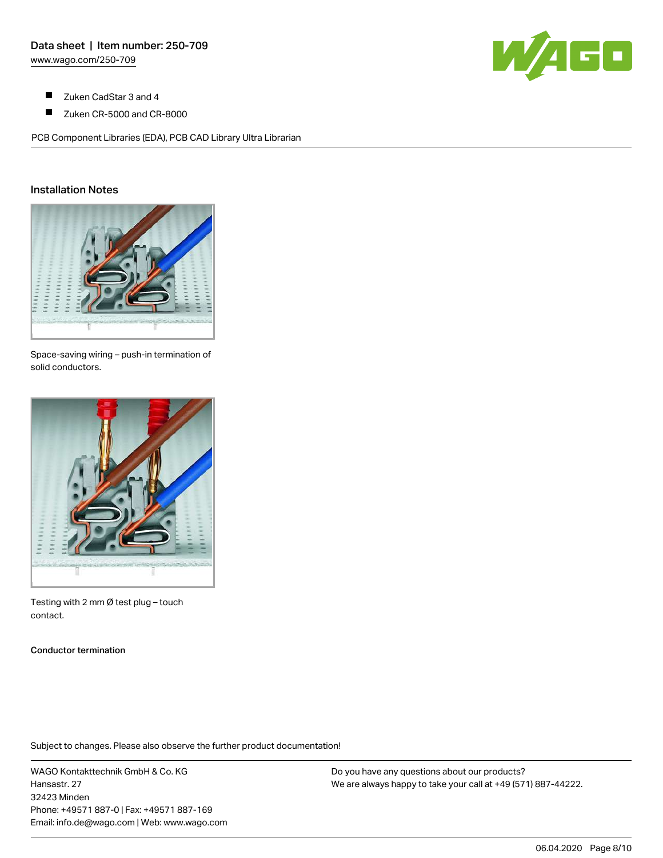

- $\blacksquare$ Zuken CadStar 3 and 4
- $\blacksquare$ Zuken CR-5000 and CR-8000

PCB Component Libraries (EDA), PCB CAD Library Ultra Librarian

## Installation Notes



Space-saving wiring – push-in termination of solid conductors.



Testing with 2 mm Ø test plug – touch contact.

Conductor termination

Subject to changes. Please also observe the further product documentation!

WAGO Kontakttechnik GmbH & Co. KG Hansastr. 27 32423 Minden Phone: +49571 887-0 | Fax: +49571 887-169 Email: info.de@wago.com | Web: www.wago.com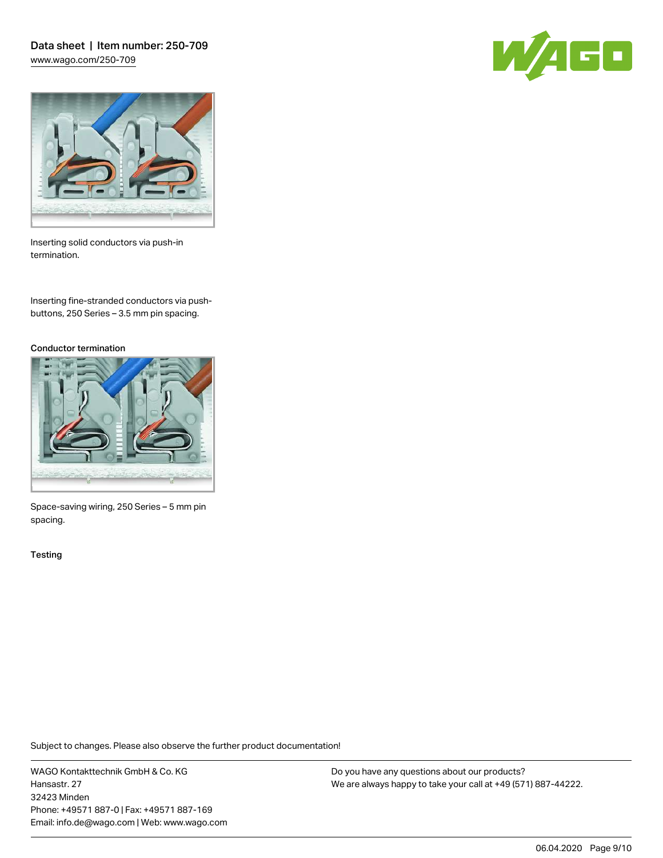Data sheet | Item number: 250-709 [www.wago.com/250-709](http://www.wago.com/250-709)





Inserting solid conductors via push-in termination.

Inserting fine-stranded conductors via pushbuttons, 250 Series – 3.5 mm pin spacing.

#### Conductor termination



Space-saving wiring, 250 Series – 5 mm pin spacing.

**Testing** 

Subject to changes. Please also observe the further product documentation!

WAGO Kontakttechnik GmbH & Co. KG Hansastr. 27 32423 Minden Phone: +49571 887-0 | Fax: +49571 887-169 Email: info.de@wago.com | Web: www.wago.com